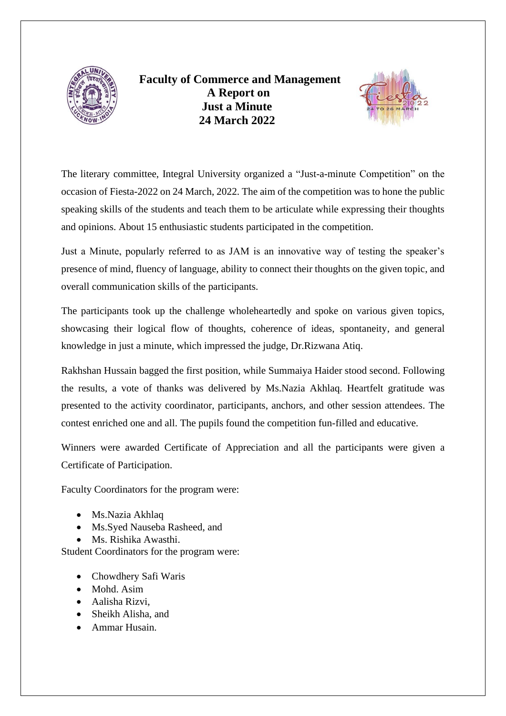

 **Faculty of Commerce and Management A Report on Just a Minute 24 March 2022**



The literary committee, Integral University organized a "Just-a-minute Competition" on the occasion of Fiesta-2022 on 24 March, 2022. The aim of the competition was to hone the public speaking skills of the students and teach them to be articulate while expressing their thoughts and opinions. About 15 enthusiastic students participated in the competition.

Just a Minute, popularly referred to as JAM is an innovative way of testing the speaker's presence of mind, fluency of language, ability to connect their thoughts on the given topic, and overall communication skills of the participants.

The participants took up the challenge wholeheartedly and spoke on various given topics, showcasing their logical flow of thoughts, coherence of ideas, spontaneity, and general knowledge in just a minute, which impressed the judge, Dr.Rizwana Atiq.

Rakhshan Hussain bagged the first position, while Summaiya Haider stood second. Following the results, a vote of thanks was delivered by Ms.Nazia Akhlaq. Heartfelt gratitude was presented to the activity coordinator, participants, anchors, and other session attendees. The contest enriched one and all. The pupils found the competition fun-filled and educative.

Winners were awarded Certificate of Appreciation and all the participants were given a Certificate of Participation.

Faculty Coordinators for the program were:

- Ms.Nazia Akhlaq
- Ms.Syed Nauseba Rasheed, and
- Ms. Rishika Awasthi.

Student Coordinators for the program were:

- Chowdhery Safi Waris
- Mohd. Asim
- Aalisha Rizvi,
- Sheikh Alisha, and
- Ammar Husain.